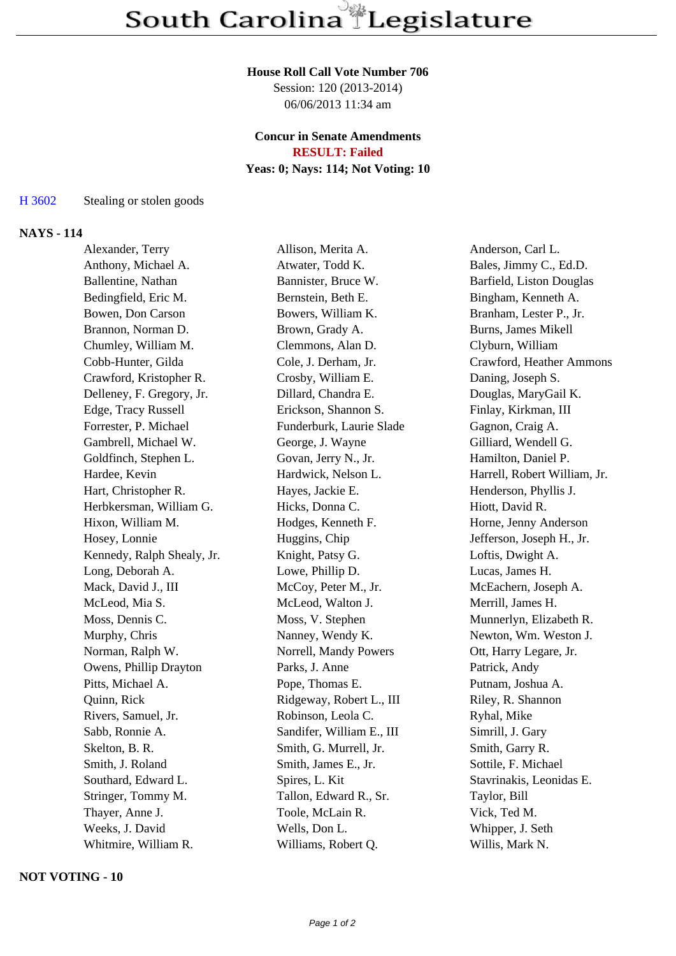### **House Roll Call Vote Number 706**

Session: 120 (2013-2014) 06/06/2013 11:34 am

### **Concur in Senate Amendments RESULT: Failed**

# **Yeas: 0; Nays: 114; Not Voting: 10**

### H 3602 Stealing or stolen goods

## **NAYS - 114**

| Alexander, Terry           | Allison, Merita A.        | Anderson, Carl L.            |
|----------------------------|---------------------------|------------------------------|
| Anthony, Michael A.        | Atwater, Todd K.          | Bales, Jimmy C., Ed.D.       |
| Ballentine, Nathan         | Bannister, Bruce W.       | Barfield, Liston Douglas     |
| Bedingfield, Eric M.       | Bernstein, Beth E.        | Bingham, Kenneth A.          |
| Bowen, Don Carson          | Bowers, William K.        | Branham, Lester P., Jr.      |
| Brannon, Norman D.         | Brown, Grady A.           | Burns, James Mikell          |
| Chumley, William M.        | Clemmons, Alan D.         | Clyburn, William             |
| Cobb-Hunter, Gilda         | Cole, J. Derham, Jr.      | Crawford, Heather Ammons     |
| Crawford, Kristopher R.    | Crosby, William E.        | Daning, Joseph S.            |
| Delleney, F. Gregory, Jr.  | Dillard, Chandra E.       | Douglas, MaryGail K.         |
| Edge, Tracy Russell        | Erickson, Shannon S.      | Finlay, Kirkman, III         |
| Forrester, P. Michael      | Funderburk, Laurie Slade  | Gagnon, Craig A.             |
| Gambrell, Michael W.       | George, J. Wayne          | Gilliard, Wendell G.         |
| Goldfinch, Stephen L.      | Govan, Jerry N., Jr.      | Hamilton, Daniel P.          |
| Hardee, Kevin              | Hardwick, Nelson L.       | Harrell, Robert William, Jr. |
| Hart, Christopher R.       | Hayes, Jackie E.          | Henderson, Phyllis J.        |
| Herbkersman, William G.    | Hicks, Donna C.           | Hiott, David R.              |
| Hixon, William M.          | Hodges, Kenneth F.        | Horne, Jenny Anderson        |
| Hosey, Lonnie              | Huggins, Chip             | Jefferson, Joseph H., Jr.    |
| Kennedy, Ralph Shealy, Jr. | Knight, Patsy G.          | Loftis, Dwight A.            |
| Long, Deborah A.           | Lowe, Phillip D.          | Lucas, James H.              |
| Mack, David J., III        | McCoy, Peter M., Jr.      | McEachern, Joseph A.         |
| McLeod, Mia S.             | McLeod, Walton J.         | Merrill, James H.            |
| Moss, Dennis C.            | Moss, V. Stephen          | Munnerlyn, Elizabeth R.      |
| Murphy, Chris              | Nanney, Wendy K.          | Newton, Wm. Weston J.        |
| Norman, Ralph W.           | Norrell, Mandy Powers     | Ott, Harry Legare, Jr.       |
| Owens, Phillip Drayton     | Parks, J. Anne            | Patrick, Andy                |
| Pitts, Michael A.          | Pope, Thomas E.           | Putnam, Joshua A.            |
| Quinn, Rick                | Ridgeway, Robert L., III  | Riley, R. Shannon            |
| Rivers, Samuel, Jr.        | Robinson, Leola C.        | Ryhal, Mike                  |
| Sabb, Ronnie A.            | Sandifer, William E., III | Simrill, J. Gary             |
| Skelton, B. R.             | Smith, G. Murrell, Jr.    | Smith, Garry R.              |
| Smith, J. Roland           | Smith, James E., Jr.      | Sottile, F. Michael          |
| Southard, Edward L.        | Spires, L. Kit            | Stavrinakis, Leonidas E.     |
| Stringer, Tommy M.         | Tallon, Edward R., Sr.    | Taylor, Bill                 |
| Thayer, Anne J.            | Toole, McLain R.          | Vick, Ted M.                 |
| Weeks, J. David            | Wells, Don L.             | Whipper, J. Seth             |
| Whitmire, William R.       | Williams, Robert Q.       | Willis, Mark N.              |
|                            |                           |                              |

**NOT VOTING - 10**